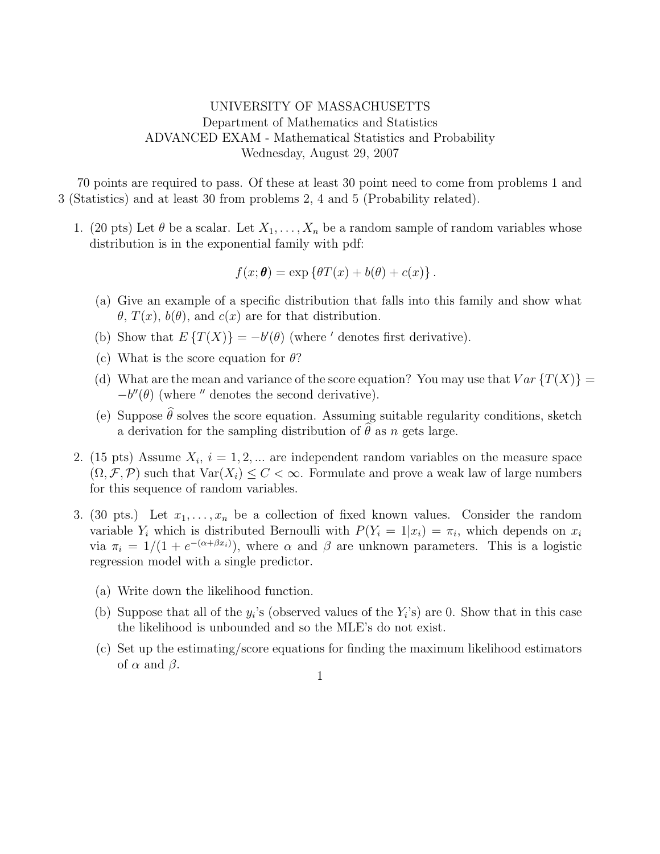## UNIVERSITY OF MASSACHUSETTS Department of Mathematics and Statistics ADVANCED EXAM - Mathematical Statistics and Probability Wednesday, August 29, 2007

70 points are required to pass. Of these at least 30 point need to come from problems 1 and 3 (Statistics) and at least 30 from problems 2, 4 and 5 (Probability related).

1. (20 pts) Let  $\theta$  be a scalar. Let  $X_1, \ldots, X_n$  be a random sample of random variables whose distribution is in the exponential family with pdf:

$$
f(x; \theta) = \exp \{ \theta T(x) + b(\theta) + c(x) \}.
$$

- (a) Give an example of a specific distribution that falls into this family and show what  $\theta$ ,  $T(x)$ ,  $b(\theta)$ , and  $c(x)$  are for that distribution.
- (b) Show that  $E\{T(X)\} = -b'(\theta)$  (where ' denotes first derivative).
- (c) What is the score equation for  $\theta$ ?
- (d) What are the mean and variance of the score equation? You may use that  $Var\{T(X)\}$  =  $-b''(\theta)$  (where " denotes the second derivative).
- (e) Suppose  $\hat{\theta}$  solves the score equation. Assuming suitable regularity conditions, sketch a derivation for the sampling distribution of  $\hat{\theta}$  as n gets large.
- 2. (15 pts) Assume  $X_i$ ,  $i = 1, 2, ...$  are independent random variables on the measure space  $(\Omega, \mathcal{F}, \mathcal{P})$  such that  $\text{Var}(X_i) \leq C < \infty$ . Formulate and prove a weak law of large numbers for this sequence of random variables.
- 3. (30 pts.) Let  $x_1, \ldots, x_n$  be a collection of fixed known values. Consider the random variable  $Y_i$  which is distributed Bernoulli with  $P(Y_i = 1 | x_i) = \pi_i$ , which depends on  $x_i$ via  $\pi_i = 1/(1 + e^{-(\alpha + \beta x_i)})$ , where  $\alpha$  and  $\beta$  are unknown parameters. This is a logistic regression model with a single predictor.
	- (a) Write down the likelihood function.
	- (b) Suppose that all of the  $y_i$ 's (observed values of the  $Y_i$ 's) are 0. Show that in this case the likelihood is unbounded and so the MLE's do not exist.
	- (c) Set up the estimating/score equations for finding the maximum likelihood estimators of  $\alpha$  and  $\beta$ .

1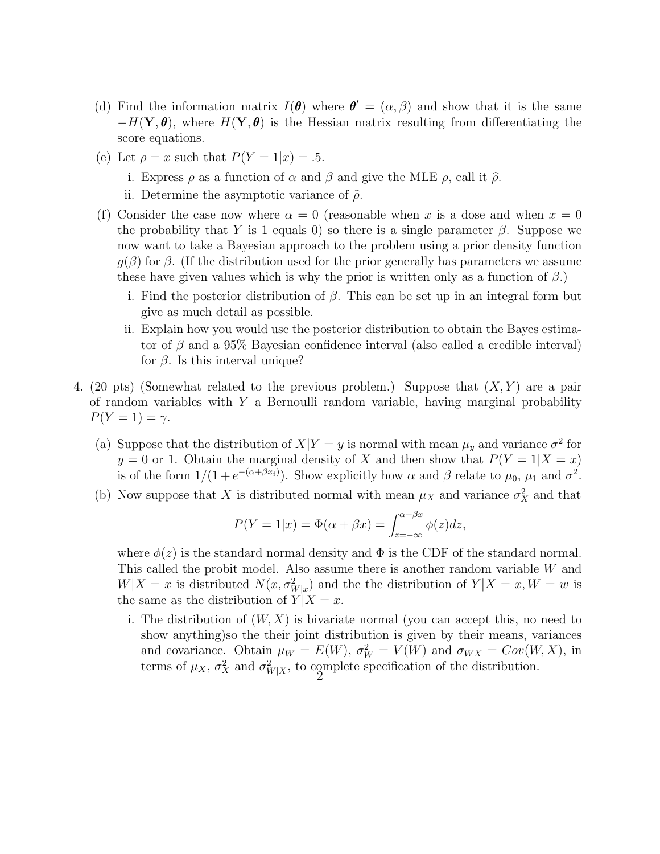- (d) Find the information matrix  $I(\theta)$  where  $\theta' = (\alpha, \beta)$  and show that it is the same  $-H(Y,\theta)$ , where  $H(Y,\theta)$  is the Hessian matrix resulting from differentiating the score equations.
- (e) Let  $\rho = x$  such that  $P(Y = 1|x) = .5$ .
	- i. Express  $\rho$  as a function of  $\alpha$  and  $\beta$  and give the MLE  $\rho$ , call it  $\hat{\rho}$ .
	- ii. Determine the asymptotic variance of  $\hat{\rho}$ .
- (f) Consider the case now where  $\alpha = 0$  (reasonable when x is a dose and when  $x = 0$ the probability that Y is 1 equals 0) so there is a single parameter  $\beta$ . Suppose we now want to take a Bayesian approach to the problem using a prior density function  $g(\beta)$  for  $\beta$ . (If the distribution used for the prior generally has parameters we assume these have given values which is why the prior is written only as a function of  $\beta$ .)
	- i. Find the posterior distribution of  $\beta$ . This can be set up in an integral form but give as much detail as possible.
	- ii. Explain how you would use the posterior distribution to obtain the Bayes estimator of  $\beta$  and a 95% Bayesian confidence interval (also called a credible interval) for  $\beta$ . Is this interval unique?
- 4. (20 pts) (Somewhat related to the previous problem.) Suppose that  $(X, Y)$  are a pair of random variables with  $Y$  a Bernoulli random variable, having marginal probability  $P(Y=1) = \gamma$ .
	- (a) Suppose that the distribution of  $X|Y=y$  is normal with mean  $\mu_y$  and variance  $\sigma^2$  for  $y = 0$  or 1. Obtain the marginal density of X and then show that  $P(Y = 1|X = x)$ is of the form  $1/(1+e^{-(\alpha+\beta x_i)})$ . Show explicitly how  $\alpha$  and  $\beta$  relate to  $\mu_0$ ,  $\mu_1$  and  $\sigma^2$ .
	- (b) Now suppose that X is distributed normal with mean  $\mu_X$  and variance  $\sigma_X^2$  and that

$$
P(Y = 1|x) = \Phi(\alpha + \beta x) = \int_{z=-\infty}^{\alpha + \beta x} \phi(z) dz,
$$

where  $\phi(z)$  is the standard normal density and  $\Phi$  is the CDF of the standard normal. This called the probit model. Also assume there is another random variable W and  $W|X=x$  is distributed  $N(x, \sigma_{W|x}^2)$  and the the distribution of  $Y|X=x, W=w$  is the same as the distribution of  $Y|X=x$ .

i. The distribution of  $(W, X)$  is bivariate normal (you can accept this, no need to show anything)so the their joint distribution is given by their means, variances and covariance. Obtain  $\mu_W = E(W)$ ,  $\sigma_W^2 = V(W)$  and  $\sigma_{WX} = Cov(W, X)$ , in terms of  $\mu_X$ ,  $\sigma_X^2$  and  $\sigma_{W|X}^2$ , to complete specification of the distribution.